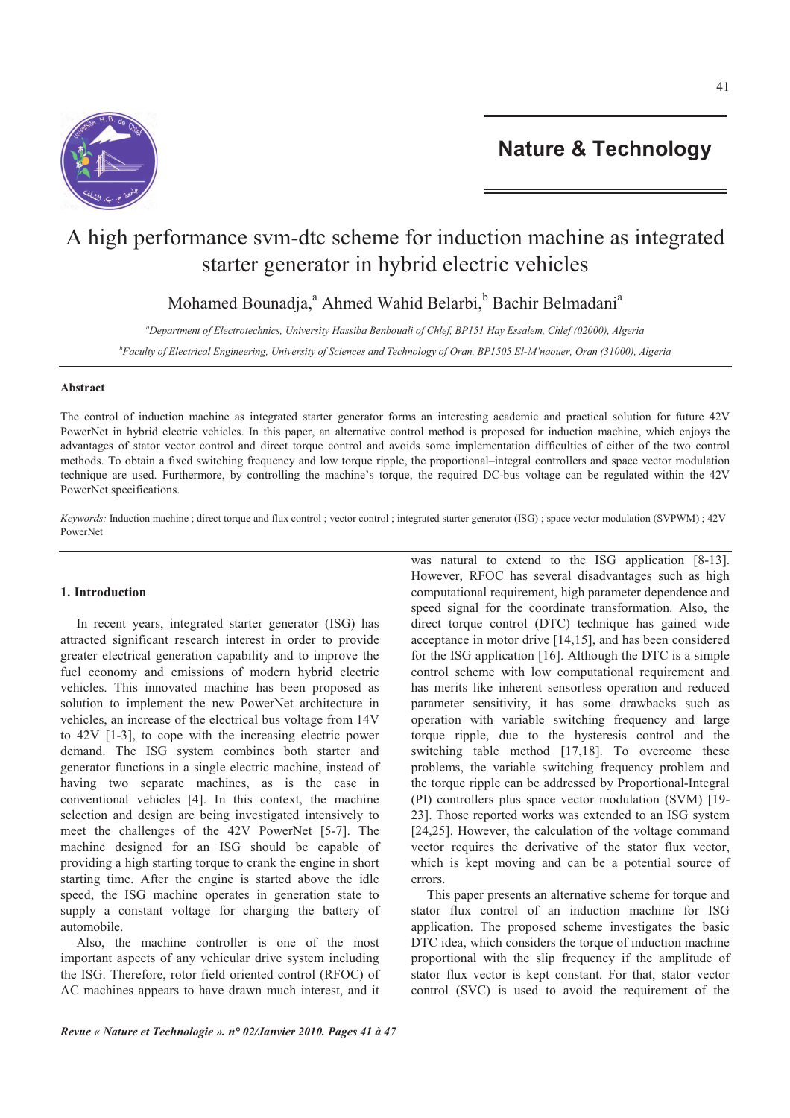

# A high performance svm-dtc scheme for induction machine as integrated starter generator in hybrid electric vehicles

Mohamed Bounadja,<sup>a</sup> Ahmed Wahid Belarbi, <sup>b</sup> Bachir Belmadani<sup>a</sup>

*<sup>a</sup>Department of Electrotechnics, University Hassiba Benbouali of Chlef, BP151 Hay Essalem, Chlef (02000), Algeria* 

*<sup>b</sup>Faculty of Electrical Engineering, University of Sciences and Technology of Oran, BP1505 El-M'naouer, Oran (31000), Algeria* 

# **Abstract**

The control of induction machine as integrated starter generator forms an interesting academic and practical solution for future 42V PowerNet in hybrid electric vehicles. In this paper, an alternative control method is proposed for induction machine, which enjoys the advantages of stator vector control and direct torque control and avoids some implementation difficulties of either of the two control methods. To obtain a fixed switching frequency and low torque ripple, the proportional–integral controllers and space vector modulation technique are used. Furthermore, by controlling the machine's torque, the required DC-bus voltage can be regulated within the 42V PowerNet specifications.

*Keywords:* Induction machine ; direct torque and flux control ; vector control ; integrated starter generator (ISG) ; space vector modulation (SVPWM) ; 42V PowerNet

# **1. Introduction**

In recent years, integrated starter generator (ISG) has attracted significant research interest in order to provide greater electrical generation capability and to improve the fuel economy and emissions of modern hybrid electric vehicles. This innovated machine has been proposed as solution to implement the new PowerNet architecture in vehicles, an increase of the electrical bus voltage from 14V to 42V [1-3], to cope with the increasing electric power demand. The ISG system combines both starter and generator functions in a single electric machine, instead of having two separate machines, as is the case in conventional vehicles [4]. In this context, the machine selection and design are being investigated intensively to meet the challenges of the 42V PowerNet [5-7]. The machine designed for an ISG should be capable of providing a high starting torque to crank the engine in short starting time. After the engine is started above the idle speed, the ISG machine operates in generation state to supply a constant voltage for charging the battery of automobile.

Also, the machine controller is one of the most important aspects of any vehicular drive system including the ISG. Therefore, rotor field oriented control (RFOC) of AC machines appears to have drawn much interest, and it was natural to extend to the ISG application [8-13]. However, RFOC has several disadvantages such as high computational requirement, high parameter dependence and speed signal for the coordinate transformation. Also, the direct torque control (DTC) technique has gained wide acceptance in motor drive [14,15], and has been considered for the ISG application [16]. Although the DTC is a simple control scheme with low computational requirement and has merits like inherent sensorless operation and reduced parameter sensitivity, it has some drawbacks such as operation with variable switching frequency and large torque ripple, due to the hysteresis control and the switching table method [17,18]. To overcome these problems, the variable switching frequency problem and the torque ripple can be addressed by Proportional-Integral (PI) controllers plus space vector modulation (SVM) [19- 23]. Those reported works was extended to an ISG system [24,25]. However, the calculation of the voltage command vector requires the derivative of the stator flux vector, which is kept moving and can be a potential source of errors.

This paper presents an alternative scheme for torque and stator flux control of an induction machine for ISG application. The proposed scheme investigates the basic DTC idea, which considers the torque of induction machine proportional with the slip frequency if the amplitude of stator flux vector is kept constant. For that, stator vector control (SVC) is used to avoid the requirement of the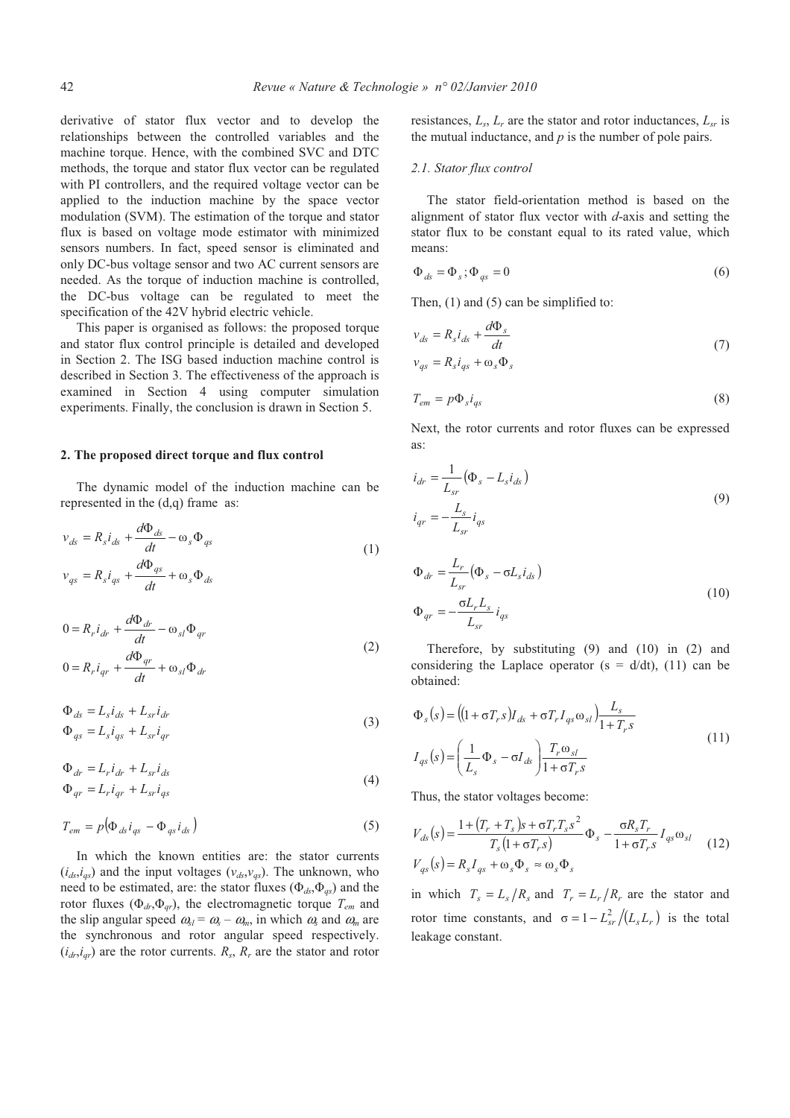derivative of stator flux vector and to develop the relationships between the controlled variables and the machine torque. Hence, with the combined SVC and DTC methods, the torque and stator flux vector can be regulated with PI controllers, and the required voltage vector can be applied to the induction machine by the space vector modulation (SVM). The estimation of the torque and stator flux is based on voltage mode estimator with minimized sensors numbers. In fact, speed sensor is eliminated and only DC-bus voltage sensor and two AC current sensors are needed. As the torque of induction machine is controlled, the DC-bus voltage can be regulated to meet the specification of the 42V hybrid electric vehicle.

This paper is organised as follows: the proposed torque and stator flux control principle is detailed and developed in Section 2. The ISG based induction machine control is described in Section 3. The effectiveness of the approach is examined in Section 4 using computer simulation experiments. Finally, the conclusion is drawn in Section 5.

#### **2. The proposed direct torque and flux control**

The dynamic model of the induction machine can be represented in the (d,q) frame as:

$$
v_{ds} = R_s i_{ds} + \frac{d\Phi_{ds}}{dt} - \omega_s \Phi_{qs}
$$
  

$$
v_{qs} = R_s i_{qs} + \frac{d\Phi_{qs}}{dt} + \omega_s \Phi_{ds}
$$
 (1)

$$
0 = R_r i_{dr} + \frac{d\Phi_{dr}}{dt} - \omega_{sl} \Phi_{qr}
$$
  

$$
0 = R_r i_{qr} + \frac{d\Phi_{qr}}{dt} + \omega_{sl} \Phi_{dr}
$$
 (2)

$$
\Phi_{ds} = L_s i_{ds} + L_{sr} i_{dr}
$$
\n
$$
\Phi_{qs} = L_s i_{qs} + L_{sr} i_{qr}
$$
\n(3)

$$
\Phi_{dr} = L_r i_{dr} + L_{sr} i_{ds}
$$
\n
$$
\Phi_{qr} = L_r i_{qr} + L_{sr} i_{qs}
$$
\n(4)

$$
T_{em} = p \big( \Phi_{ds} i_{qs} - \Phi_{qs} i_{ds} \big) \tag{5}
$$

In which the known entities are: the stator currents  $(i_{ds}, i_{qs})$  and the input voltages  $(v_{ds}, v_{qs})$ . The unknown, who need to be estimated, are: the stator fluxes  $(\Phi_{ds}, \Phi_{gs})$  and the rotor fluxes  $(\Phi_{dr}, \Phi_{qr})$ , the electromagnetic torque  $T_{em}$  and the slip angular speed  $\omega_{sl} = \omega_s - \omega_m$ , in which  $\omega_s$  and  $\omega_m$  are the synchronous and rotor angular speed respectively.  $(i_{dr}, i_{qr})$  are the rotor currents.  $R_s$ ,  $R_r$  are the stator and rotor

resistances,  $L_s$ ,  $L_r$  are the stator and rotor inductances,  $L_{sr}$  is the mutual inductance, and *p* is the number of pole pairs.

## *2.1. Stator flux control*

The stator field-orientation method is based on the alignment of stator flux vector with *d*-axis and setting the stator flux to be constant equal to its rated value, which means:

$$
\Phi_{ds} = \Phi_s; \Phi_{gs} = 0 \tag{6}
$$

Then, (1) and (5) can be simplified to:

$$
v_{ds} = R_s i_{ds} + \frac{d\Phi_s}{dt}
$$
  
\n
$$
v_{gs} = R_s i_{gs} + \omega_s \Phi_s
$$
\n(7)

$$
T_{em} = p\Phi_s i_{qs} \tag{8}
$$

Next, the rotor currents and rotor fluxes can be expressed as:

$$
i_{dr} = \frac{1}{L_{sr}} (\Phi_s - L_s i_{ds})
$$
  
\n
$$
i_{qr} = -\frac{L_s}{L_{sr}} i_{qs}
$$
\n(9)

$$
\Phi_{dr} = \frac{L_r}{L_{sr}} (\Phi_s - \sigma L_s i_{ds})
$$
\n
$$
\Phi_{qr} = -\frac{\sigma L_r L_s}{L_{sr}} i_{qs}
$$
\n(10)

Therefore, by substituting (9) and (10) in (2) and considering the Laplace operator ( $s = d/dt$ ), (11) can be obtained:

$$
\Phi_s(s) = ((1 + \sigma T_r s)I_{ds} + \sigma T_r I_{qs} \omega_{sl}) \frac{L_s}{1 + T_r s}
$$
\n
$$
I_{qs}(s) = \left(\frac{1}{L_s} \Phi_s - \sigma I_{ds}\right) \frac{T_r \omega_{sl}}{1 + \sigma T_r s}
$$
\n(11)

Thus, the stator voltages become:

$$
V_{ds}(s) = \frac{1 + (T_r + T_s)s + \sigma T_r T_s s^2}{T_s (1 + \sigma T_r s)} \Phi_s - \frac{\sigma R_s T_r}{1 + \sigma T_r s} I_{qs} \omega_{sl}
$$
  
(12)  

$$
V_{qs}(s) = R_s I_{qs} + \omega_s \Phi_s \approx \omega_s \Phi_s
$$

in which  $T_s = L_s/R_s$  and  $T_r = L_r/R_r$  are the stator and rotor time constants, and  $\sigma = 1 - \frac{L_{sr}^2}{L_s L_r}$  is the total leakage constant.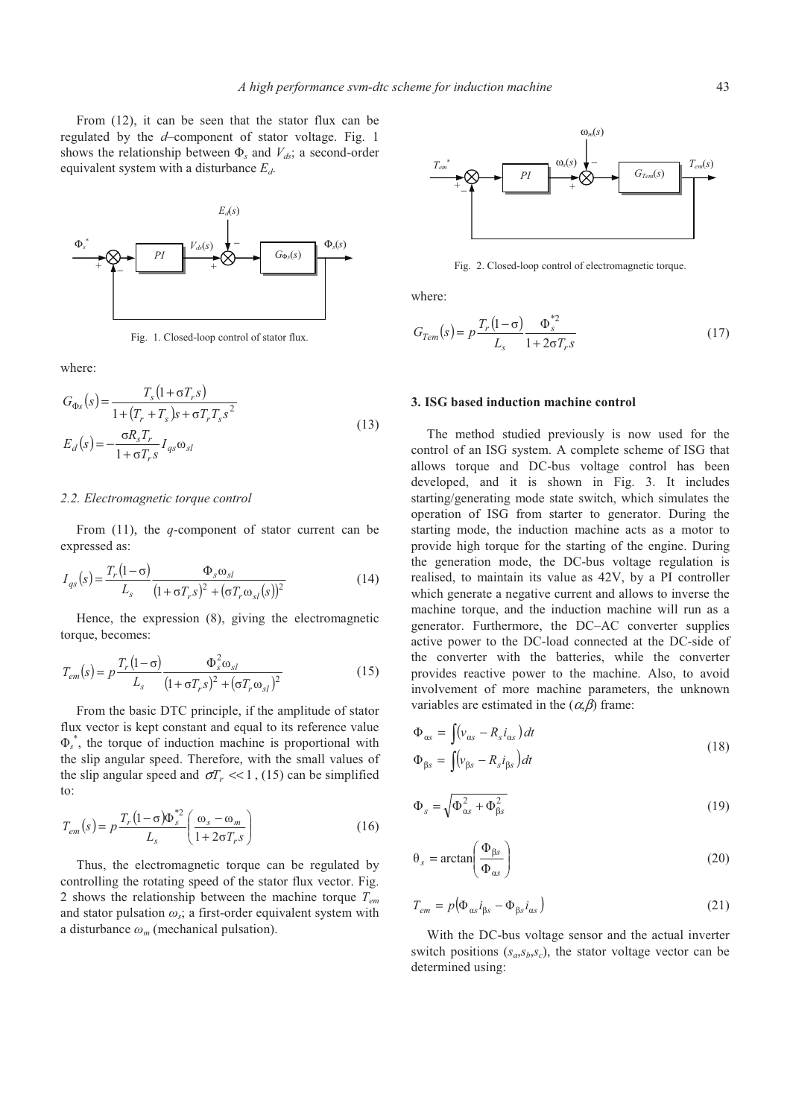

Fig. 1. Closed-loop control of stator flux.

where:

$$
G_{\Phi_S}(s) = \frac{T_s (1 + \sigma T_r s)}{1 + (T_r + T_s)s + \sigma T_r T_s s^2}
$$
  
\n
$$
E_d(s) = -\frac{\sigma R_s T_r}{1 + \sigma T_r s} I_{qs} \omega_{sl}
$$
\n(13)

## *2.2. Electromagnetic torque control*

From (11), the *q*-component of stator current can be expressed as:

$$
I_{qs}(s) = \frac{T_r(1-\sigma)}{L_s} \frac{\Phi_s \omega_{sl}}{(1+\sigma T_r s)^2 + (\sigma T_r \omega_{sl}(s))^2}
$$
(14)

Hence, the expression (8), giving the electromagnetic torque, becomes:

$$
T_{em}(s) = p \frac{T_r (1 - \sigma)}{L_s} \frac{\Phi_s^2 \omega_{sl}}{(1 + \sigma T_r s)^2 + (\sigma T_r \omega_{sl})^2}
$$
(15)

From the basic DTC principle, if the amplitude of stator flux vector is kept constant and equal to its reference value  $\Phi_s^*$ , the torque of induction machine is proportional with the slip angular speed. Therefore, with the small values of the slip angular speed and  $\sigma T_r \ll 1$ , (15) can be simplified to:

$$
T_{em}(s) = p \frac{T_r (1 - \sigma) \Phi_s^{*2}}{L_s} \left( \frac{\omega_s - \omega_m}{1 + 2\sigma T_r s} \right)
$$
(16)

Thus, the electromagnetic torque can be regulated by controlling the rotating speed of the stator flux vector. Fig. 2 shows the relationship between the machine torque *Tem* and stator pulsation  $\omega_s$ ; a first-order equivalent system with a disturbance  $\omega_m$  (mechanical pulsation).



Fig. 2. Closed-loop control of electromagnetic torque.

where:

$$
G_{Tem}(s) = p \frac{T_r (1 - \sigma)}{L_s} \frac{\Phi_s^{*2}}{1 + 2\sigma T_r s}
$$
(17)

# **3. ISG based induction machine control**

The method studied previously is now used for the control of an ISG system. A complete scheme of ISG that allows torque and DC-bus voltage control has been developed, and it is shown in Fig. 3. It includes starting/generating mode state switch, which simulates the operation of ISG from starter to generator. During the starting mode, the induction machine acts as a motor to provide high torque for the starting of the engine. During the generation mode, the DC-bus voltage regulation is realised, to maintain its value as 42V, by a PI controller which generate a negative current and allows to inverse the machine torque, and the induction machine will run as a generator. Furthermore, the DC–AC converter supplies active power to the DC-load connected at the DC-side of the converter with the batteries, while the converter provides reactive power to the machine. Also, to avoid involvement of more machine parameters, the unknown variables are estimated in the  $(\alpha, \beta)$  frame:

$$
\Phi_{as} = \int (v_{as} - R_s i_{as}) dt
$$
  
\n
$$
\Phi_{\beta s} = \int (v_{\beta s} - R_s i_{\beta s}) dt
$$
\n(18)

$$
\Phi_s = \sqrt{\Phi_{\alpha s}^2 + \Phi_{\beta s}^2} \tag{19}
$$

$$
\theta_s = \arctan\left(\frac{\Phi_{\beta s}}{\Phi_{as}}\right) \tag{20}
$$

$$
T_{em} = p(\Phi_{as} i_{\beta s} - \Phi_{\beta s} i_{as})
$$
\n(21)

With the DC-bus voltage sensor and the actual inverter switch positions  $(s_a, s_b, s_c)$ , the stator voltage vector can be determined using: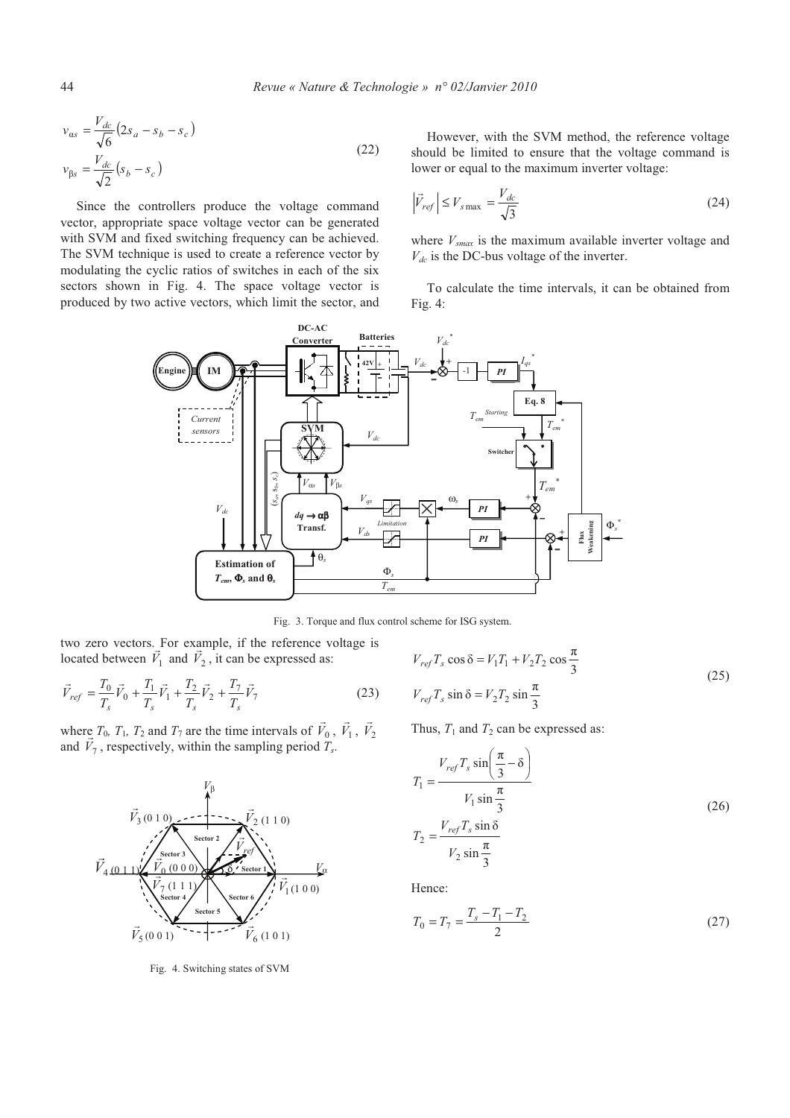$$
v_{as} = \frac{V_{dc}}{\sqrt{6}} \left( 2s_a - s_b - s_c \right)
$$
  

$$
v_{\beta s} = \frac{V_{dc}}{\sqrt{2}} \left( s_b - s_c \right)
$$
 (22)

Since the controllers produce the voltage command vector, appropriate space voltage vector can be generated with SVM and fixed switching frequency can be achieved. The SVM technique is used to create a reference vector by modulating the cyclic ratios of switches in each of the six sectors shown in Fig. 4. The space voltage vector is produced by two active vectors, which limit the sector, and

However, with the SVM method, the reference voltage should be limited to ensure that the voltage command is lower or equal to the maximum inverter voltage:

$$
\left|\vec{V}_{ref}\right| \le V_{s\,\text{max}} = \frac{V_{dc}}{\sqrt{3}}\tag{24}
$$

where *Vsmax* is the maximum available inverter voltage and *Vdc* is the DC-bus voltage of the inverter.

To calculate the time intervals, it can be obtained from Fig. 4:



Fig. 3. Torque and flux control scheme for ISG system.

two zero vectors. For example, if the reference voltage is located between  $V_1$  and  $V_2$ , it can be expressed as:

$$
\vec{V}_{ref} = \frac{T_0}{T_s} \vec{V}_0 + \frac{T_1}{T_s} \vec{V}_1 + \frac{T_2}{T_s} \vec{V}_2 + \frac{T_7}{T_s} \vec{V}_7
$$
\n(23)

where  $T_0$ ,  $T_1$ ,  $T_2$  and  $T_7$  are the time intervals of  $V_0$  $\overline{\phantom{a}}$  $V_1$  $\overline{a}$  $V_2$  $\overline{a}$ and  $V_7$  $\frac{e}{1}$ , respectively, within the sampling period *T<sup>s</sup>* .



Fig. 4. Switching states of SVM

$$
V_{ref}T_s \cos \delta = V_1T_1 + V_2T_2 \cos \frac{\pi}{3}
$$
  
\n
$$
V_{ref}T_s \sin \delta = V_2T_2 \sin \frac{\pi}{3}
$$
\n(25)

Thus,  $T_1$  and  $T_2$  can be expressed as:

$$
T_1 = \frac{V_{ref}T_s \sin\left(\frac{\pi}{3} - \delta\right)}{V_1 \sin\frac{\pi}{3}}
$$
  
\n
$$
T_2 = \frac{V_{ref}T_s \sin\delta}{V_2 \sin\frac{\pi}{3}}
$$
\n(26)

Hence:

$$
T_0 = T_7 = \frac{T_s - T_1 - T_2}{2} \tag{27}
$$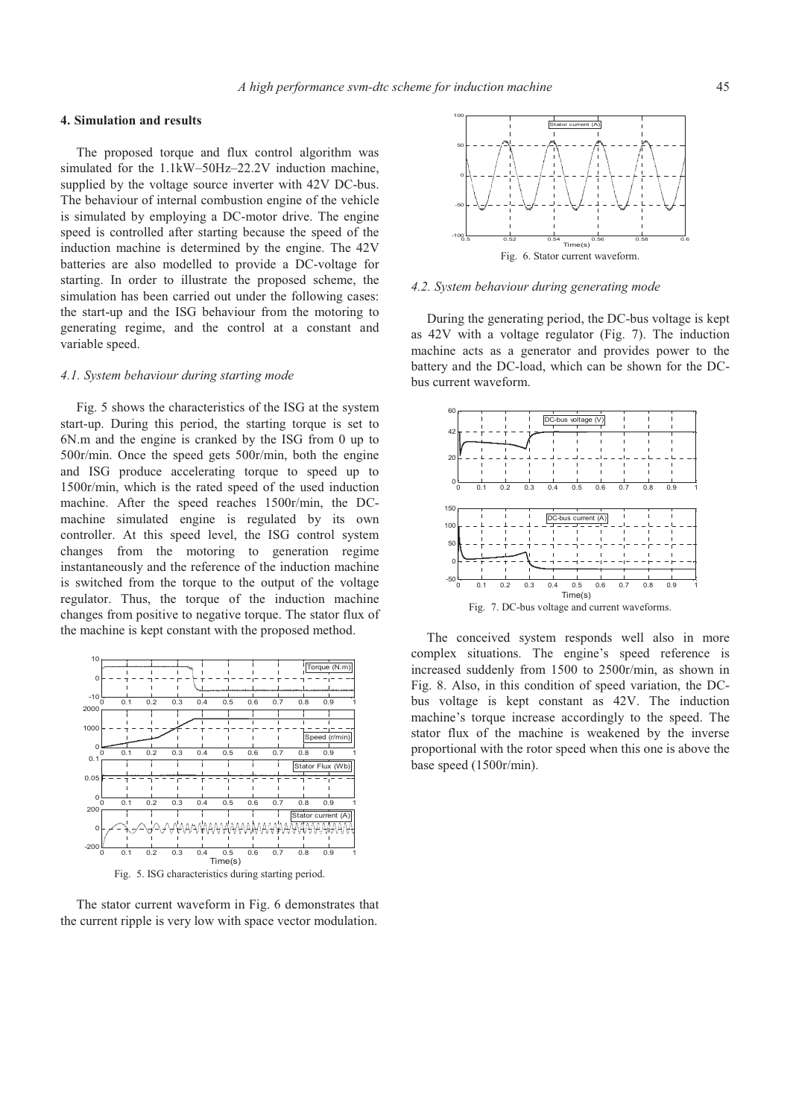## **4. Simulation and results**

The proposed torque and flux control algorithm was simulated for the 1.1kW–50Hz–22.2V induction machine, supplied by the voltage source inverter with 42V DC-bus. The behaviour of internal combustion engine of the vehicle is simulated by employing a DC-motor drive. The engine speed is controlled after starting because the speed of the induction machine is determined by the engine. The 42V batteries are also modelled to provide a DC-voltage for starting. In order to illustrate the proposed scheme, the simulation has been carried out under the following cases: the start-up and the ISG behaviour from the motoring to generating regime, and the control at a constant and variable speed.

#### *4.1. System behaviour during starting mode*

Fig. 5 shows the characteristics of the ISG at the system start-up. During this period, the starting torque is set to 6N.m and the engine is cranked by the ISG from 0 up to 500r/min. Once the speed gets 500r/min, both the engine and ISG produce accelerating torque to speed up to 1500r/min, which is the rated speed of the used induction machine. After the speed reaches 1500r/min, the DCmachine simulated engine is regulated by its own controller. At this speed level, the ISG control system changes from the motoring to generation regime instantaneously and the reference of the induction machine is switched from the torque to the output of the voltage regulator. Thus, the torque of the induction machine changes from positive to negative torque. The stator flux of the machine is kept constant with the proposed method.



Fig. 5. ISG characteristics during starting period.

The stator current waveform in Fig. 6 demonstrates that the current ripple is very low with space vector modulation.



## *4.2. System behaviour during generating mode*

During the generating period, the DC-bus voltage is kept as 42V with a voltage regulator (Fig. 7). The induction machine acts as a generator and provides power to the battery and the DC-load, which can be shown for the DCbus current waveform.



The conceived system responds well also in more complex situations. The engine's speed reference is increased suddenly from 1500 to 2500r/min, as shown in Fig. 8. Also, in this condition of speed variation, the DCbus voltage is kept constant as 42V. The induction machine's torque increase accordingly to the speed. The stator flux of the machine is weakened by the inverse proportional with the rotor speed when this one is above the base speed (1500r/min).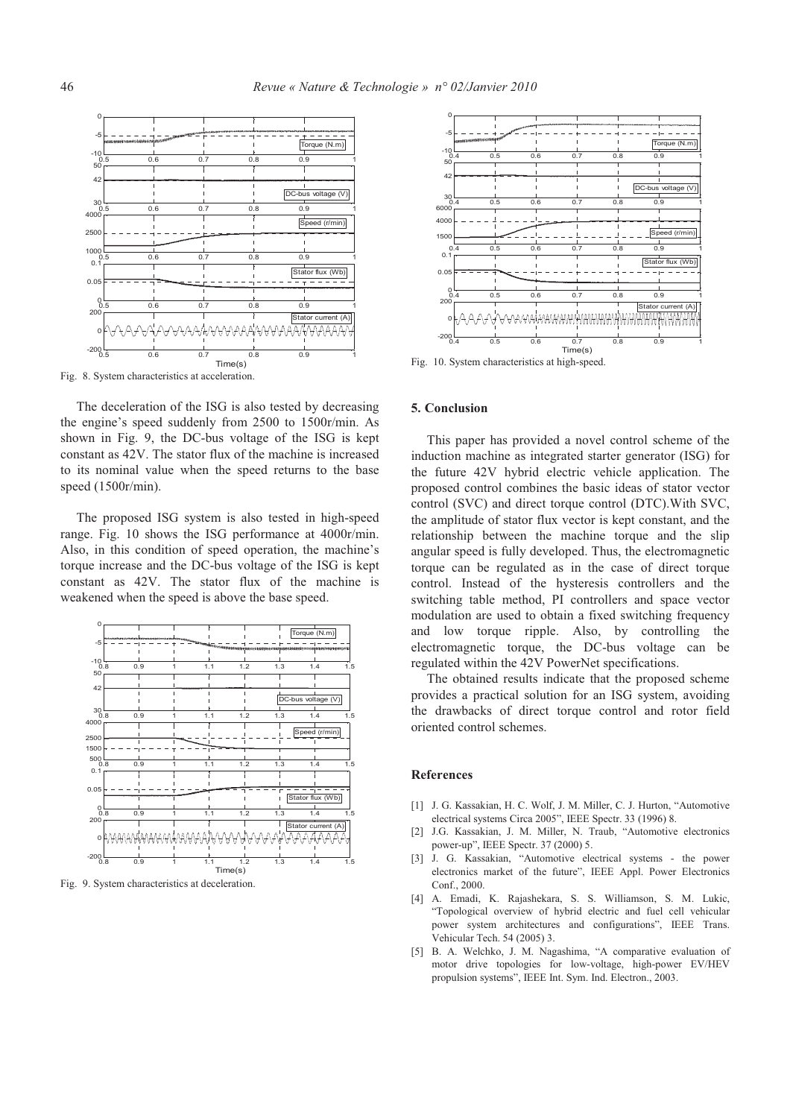

Fig. 8. System characteristics at acceleration.

The deceleration of the ISG is also tested by decreasing the engine's speed suddenly from 2500 to 1500r/min. As shown in Fig. 9, the DC-bus voltage of the ISG is kept constant as 42V. The stator flux of the machine is increased to its nominal value when the speed returns to the base speed (1500r/min).

The proposed ISG system is also tested in high-speed range. Fig. 10 shows the ISG performance at 4000r/min. Also, in this condition of speed operation, the machine's torque increase and the DC-bus voltage of the ISG is kept constant as 42V. The stator flux of the machine is weakened when the speed is above the base speed.



Fig. 9. System characteristics at deceleration.



Fig. 10. System characteristics at high-speed.

#### **5. Conclusion**

This paper has provided a novel control scheme of the induction machine as integrated starter generator (ISG) for the future 42V hybrid electric vehicle application. The proposed control combines the basic ideas of stator vector control (SVC) and direct torque control (DTC).With SVC, the amplitude of stator flux vector is kept constant, and the relationship between the machine torque and the slip angular speed is fully developed. Thus, the electromagnetic torque can be regulated as in the case of direct torque control. Instead of the hysteresis controllers and the switching table method, PI controllers and space vector modulation are used to obtain a fixed switching frequency and low torque ripple. Also, by controlling the electromagnetic torque, the DC-bus voltage can be regulated within the 42V PowerNet specifications.

The obtained results indicate that the proposed scheme provides a practical solution for an ISG system, avoiding the drawbacks of direct torque control and rotor field oriented control schemes.

## **References**

- [1] J. G. Kassakian, H. C. Wolf, J. M. Miller, C. J. Hurton, "Automotive electrical systems Circa 2005", IEEE Spectr. 33 (1996) 8.
- [2] J.G. Kassakian, J. M. Miller, N. Traub, "Automotive electronics power-up", IEEE Spectr. 37 (2000) 5.
- [3] J. G. Kassakian, "Automotive electrical systems the power electronics market of the future", IEEE Appl. Power Electronics Conf., 2000.
- [4] A. Emadi, K. Rajashekara, S. S. Williamson, S. M. Lukic, "Topological overview of hybrid electric and fuel cell vehicular power system architectures and configurations", IEEE Trans. Vehicular Tech. 54 (2005) 3.
- [5] B. A. Welchko, J. M. Nagashima, "A comparative evaluation of motor drive topologies for low-voltage, high-power EV/HEV propulsion systems", IEEE Int. Sym. Ind. Electron., 2003.